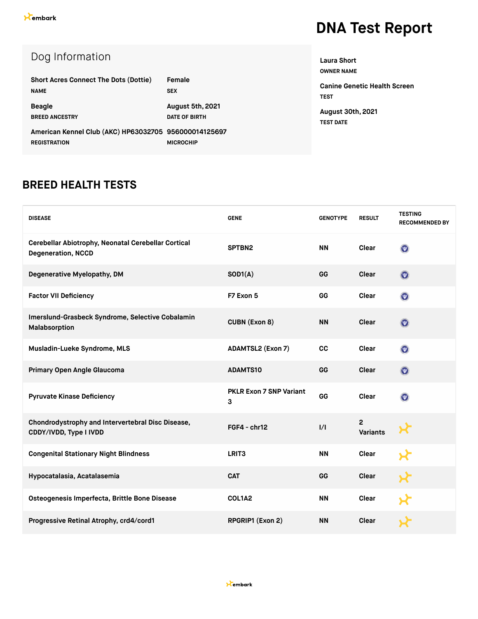| Dog Information                                       |                      |
|-------------------------------------------------------|----------------------|
| <b>Short Acres Connect The Dots (Dottie)</b>          | Female               |
| <b>NAME</b>                                           | <b>SEX</b>           |
| <b>Beagle</b>                                         | August 5th, 2021     |
| <b>BREED ANCESTRY</b>                                 | <b>DATE OF BIRTH</b> |
| American Kennel Club (AKC) HP63032705 956000014125697 |                      |
| <b>REGISTRATION</b>                                   | <b>MICROCHIP</b>     |

**OWNER NAME Canine Genetic Health Screen TEST**

**August 30th, 2021 TEST DATE**

**Laura Short**

#### **BREED HEALTH TESTS**

| <b>DISEASE</b>                                                                   | <b>GENE</b>                         | <b>GENOTYPE</b> | <b>RESULT</b>                     | <b>TESTING</b><br><b>RECOMMENDED BY</b> |
|----------------------------------------------------------------------------------|-------------------------------------|-----------------|-----------------------------------|-----------------------------------------|
| Cerebellar Abiotrophy, Neonatal Cerebellar Cortical<br><b>Degeneration, NCCD</b> | SPTBN2                              | <b>NN</b>       | Clear                             | $\odot$                                 |
| Degenerative Myelopathy, DM                                                      | SOD1(A)                             | GG              | Clear                             | $\odot$                                 |
| <b>Factor VII Deficiency</b>                                                     | F7 Exon 5                           | GG              | Clear                             | $\odot$                                 |
| Imerslund-Grasbeck Syndrome, Selective Cobalamin<br>Malabsorption                | <b>CUBN (Exon 8)</b>                | <b>NN</b>       | Clear                             | $\odot$                                 |
| Musladin-Lueke Syndrome, MLS                                                     | <b>ADAMTSL2 (Exon 7)</b>            | cc              | Clear                             | $\boldsymbol{\odot}$                    |
| Primary Open Angle Glaucoma                                                      | <b>ADAMTS10</b>                     | GG              | Clear                             | $\odot$                                 |
| <b>Pyruvate Kinase Deficiency</b>                                                | <b>PKLR Exon 7 SNP Variant</b><br>3 | GG              | Clear                             | $\odot$                                 |
| Chondrodystrophy and Intervertebral Disc Disease,<br>CDDY/IVDD, Type I IVDD      | $FGF4 - chr12$                      | 1/1             | $\overline{c}$<br><b>Variants</b> |                                         |
| <b>Congenital Stationary Night Blindness</b>                                     | LRIT <sub>3</sub>                   | <b>NN</b>       | <b>Clear</b>                      |                                         |
| Hypocatalasia, Acatalasemia                                                      | <b>CAT</b>                          | GG              | <b>Clear</b>                      |                                         |
| Osteogenesis Imperfecta, Brittle Bone Disease                                    | COL1A2                              | <b>NN</b>       | <b>Clear</b>                      |                                         |
| Progressive Retinal Atrophy, crd4/cord1                                          | RPGRIP1 (Exon 2)                    | <b>NN</b>       | <b>Clear</b>                      |                                         |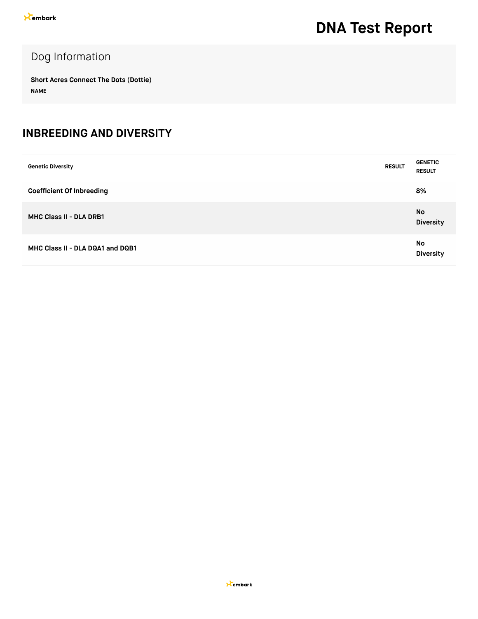### Dog Information

**Short Acres Connect The Dots (Dottie) NAME**

#### **INBREEDING AND DIVERSITY**

| <b>Genetic Diversity</b>         | <b>RESULT</b> | <b>GENETIC</b><br><b>RESULT</b> |
|----------------------------------|---------------|---------------------------------|
| <b>Coefficient Of Inbreeding</b> |               | 8%                              |
| <b>MHC Class II - DLA DRB1</b>   |               | No<br><b>Diversity</b>          |
| MHC Class II - DLA DQA1 and DQB1 |               | No<br><b>Diversity</b>          |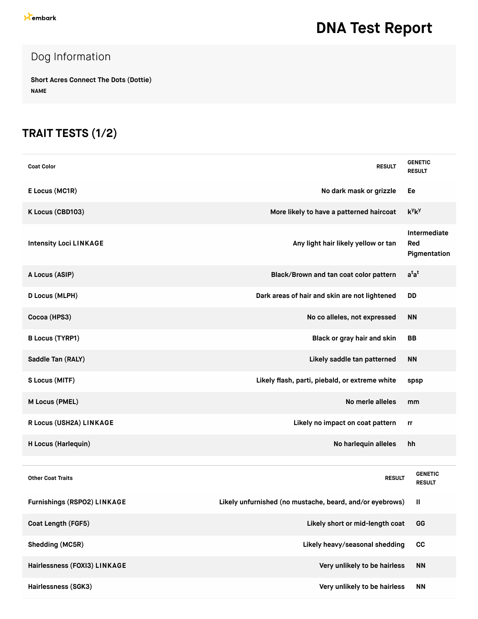### Dog Information

**Short Acres Connect The Dots (Dottie) NAME**

### **TRAIT TESTS (1/2)**

| <b>Coat Color</b>                  | <b>RESULT</b>                                            | <b>GENETIC</b><br><b>RESULT</b>     |
|------------------------------------|----------------------------------------------------------|-------------------------------------|
| E Locus (MC1R)                     | No dark mask or grizzle                                  | Ee                                  |
| K Locus (CBD103)                   | More likely to have a patterned haircoat                 | $k^y k^y$                           |
| <b>Intensity Loci LINKAGE</b>      | Any light hair likely yellow or tan                      | Intermediate<br>Red<br>Pigmentation |
| A Locus (ASIP)                     | Black/Brown and tan coat color pattern                   | $a^{t}a^{t}$                        |
| <b>D Locus (MLPH)</b>              | Dark areas of hair and skin are not lightened            | <b>DD</b>                           |
| Cocoa (HPS3)                       | No co alleles, not expressed                             | <b>NN</b>                           |
| <b>B Locus (TYRP1)</b>             | Black or gray hair and skin                              | <b>BB</b>                           |
| Saddle Tan (RALY)                  | Likely saddle tan patterned                              | <b>NN</b>                           |
| S Locus (MITF)                     | Likely flash, parti, piebald, or extreme white           | spsp                                |
| M Locus (PMEL)                     | No merle alleles                                         | mm                                  |
| R Locus (USH2A) LINKAGE            | Likely no impact on coat pattern                         | rr                                  |
| H Locus (Harlequin)                | No harlequin alleles                                     | hh                                  |
|                                    |                                                          |                                     |
| <b>Other Coat Traits</b>           | <b>RESULT</b>                                            | <b>GENETIC</b><br><b>RESULT</b>     |
| <b>Furnishings (RSPO2) LINKAGE</b> | Likely unfurnished (no mustache, beard, and/or eyebrows) | Ш                                   |
| Coat Length (FGF5)                 | Likely short or mid-length coat                          | GG                                  |
| Shedding (MC5R)                    | Likely heavy/seasonal shedding                           | cc                                  |
| Hairlessness (FOXI3) LINKAGE       | Very unlikely to be hairless                             | <b>NN</b>                           |
| Hairlessness (SGK3)                | Very unlikely to be hairless                             | <b>NN</b>                           |